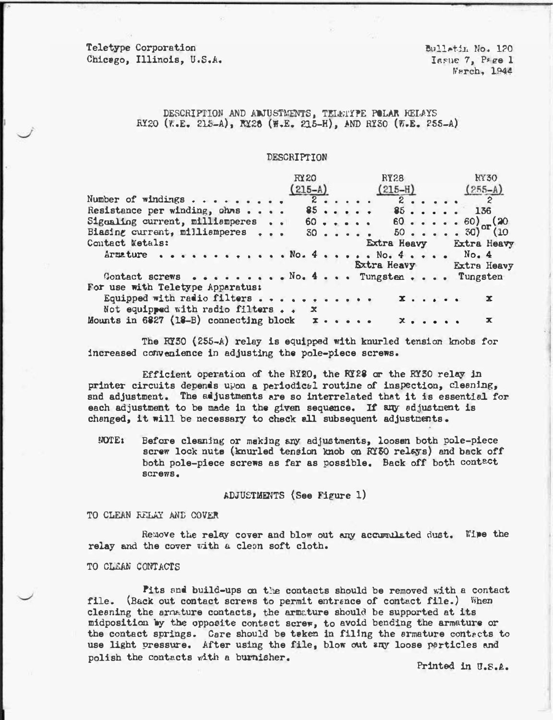Teletype Corporation Chicago, Illinois, U.S.A. Bulletin No. 120 Issue 7, Page 1 Warch, 1944

# DESCRIPTION AND ADJUSTMENTS, TELMIYPE POLAR RELAYS RY20 (W.E. 215-A), RY28 (W.E. 215-H), AND RY30 (W.E. 255-A)

### DESCRIPTION

|                                        | <b>RY20</b> |  |  |  |  |                                | <b>RY28</b>                 |                             |  | <b>KY30</b> |  |  |                                                                      |             |  |
|----------------------------------------|-------------|--|--|--|--|--------------------------------|-----------------------------|-----------------------------|--|-------------|--|--|----------------------------------------------------------------------|-------------|--|
|                                        | $(215-A)$   |  |  |  |  | $(215 - H)$                    |                             |                             |  |             |  |  | $(255-A)$                                                            |             |  |
| Number of $\pi$ indings                |             |  |  |  |  | 2                              | $2 \cdot \cdot \cdot \cdot$ |                             |  |             |  |  | $\overline{2}$                                                       |             |  |
| Resistance per winding, ohms           |             |  |  |  |  | 85                             |                             |                             |  |             |  |  | $85$ 136                                                             |             |  |
| Signaling current, milliamperes        |             |  |  |  |  |                                |                             |                             |  |             |  |  | $60 60 60 60)$ (20                                                   |             |  |
| Biasing current, milliamperes          |             |  |  |  |  |                                |                             |                             |  |             |  |  | $30 \cdot \cdot \cdot \cdot \cdot 50 \cdot \cdot \cdot \cdot 30$ (10 |             |  |
| Contact Metals:                        |             |  |  |  |  |                                |                             |                             |  |             |  |  | Extra Heavy Extra Heavy                                              |             |  |
|                                        |             |  |  |  |  |                                |                             |                             |  |             |  |  |                                                                      |             |  |
|                                        |             |  |  |  |  | <b>Extra Heavy Extra Heavy</b> |                             |                             |  |             |  |  |                                                                      |             |  |
| Contact screws No. 4 Tungsten          |             |  |  |  |  |                                |                             |                             |  |             |  |  | Tungsten                                                             |             |  |
| For use with Teletype Apparatus:       |             |  |  |  |  |                                |                             |                             |  |             |  |  |                                                                      |             |  |
| Equipped with radio filters            |             |  |  |  |  |                                | $\mathbf{x}$ , , , , , ,    |                             |  |             |  |  |                                                                      | $\mathbf x$ |  |
| Not equipped with radio filters x      |             |  |  |  |  |                                |                             |                             |  |             |  |  |                                                                      |             |  |
| Mounts in 6827 (18-B) connecting block |             |  |  |  |  |                                |                             | $x \cdot \cdot \cdot \cdot$ |  |             |  |  |                                                                      | $\mathbf x$ |  |

The RY30 (255-A) relay is equipped with knurled tension knobs for increased convenience in adjusting the pole-piece screws.

Efficient operation of the RI2O, the RI28 or the RY30 relay in printer circuits depends upon a periodical routine of inspection, cleaning, snd adjustment. The adjustments are so interrelated that it is essential for each adjustment to be made in the given sequence. If any adjustment is changed, it will be necessary to check all subsequent adjustments.

**NOTE:** Before cleaning or making any adjustments, loosen both pole-piece screw lock nuts (knurled tension knob on RY30 relays) and back off both pole-piece screws as far as possible. Back off both contact SCTOWS.

ADJUSTMENTS (See Figure 1)

TO CLEAN RELAY AND COVER

Remove the relay cover and blow out any accumulated dust. Wipe the relay and the cover with a clean soft cloth.

TO CLEAN CONTACTS

Pits and build-ups on the contacts should be removed with a contact file. (Back out contact screws to permit entrance of contact file.) When cleaning the armature contacts, the armature should be supported at its midposition by the opposite contact screw, to avoid bending the armature or the contact springs. Care should be teken in filing the armature contacts to use light pressure. After using the file, blow out any loose particles and polish the contacts with a burnisher.

Printed in U.S.A.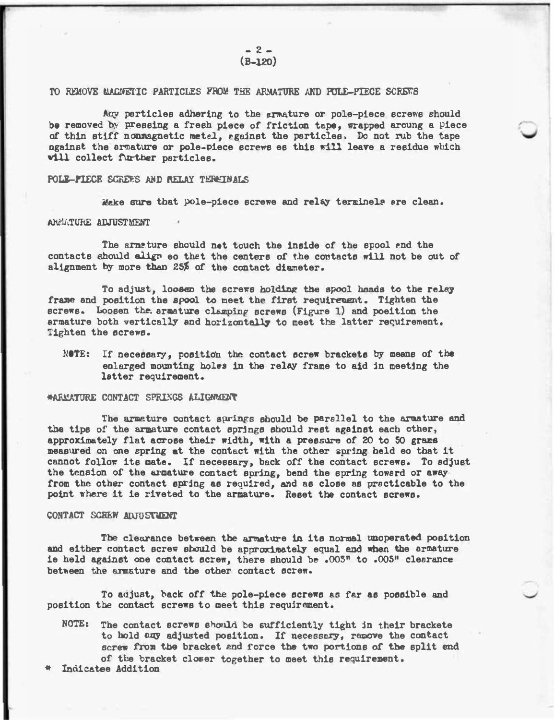## TO REMOVE MACNETIC PARTICLES FROM THE ARMATURE AND POLE-PIECE SCREWS

Any particles adhering to the armature or pole-piece screws should be removed by pressing a fresh piece of friction tape, wrapped aroung a piece of thin stiff nonmagnetic metal., against the particles, Do not rub the tape will collect further particles. ngainst the armature or pole-piece screws es this will leave a residue which

## POLE-PIECE SCREE'S AND RELAY TERETNALS

Make sure that pole-piece screwe and relay terminels are clean.

## AHMATURE ADJUSTMENT

•

The armeture should not touch the inside of the spool end the contacts should align eo that the centers of the contacts will not be out of alignment by more than 25% of the contact diameter.

To adjust, loosen the screws holding the spool heads to the relay frame and position the spool to meet the first requirement. Tighten the screws. Loosen the armature clamping screws (Figure 1) and poeition the armature both vertically and horizontally to meet the latter requirement. Tighten the screws.

NOTE: If necessary, position the contact screw brackets by means of the enlarged mounting holes in the relay frame to aid in meeting the latter requirement.

### \*ARMATURE CONTACT SPRINGS ALIGNAENT

The armature contact springs should be parallel to the amature and the tips of the armature contact springs should rest against each other, · approximately flat acrose their width, with a pressure of 20 to SO graze measured on one spring at the contact with the other spring held eo that it cannot follow its mate. If necessary, back off the contact screws. To adjust the tension of the armature contact spring, bend the spring toward or away from the other contact spring as required, and as close as practicable to the point where it ie riveted to the armature. Reset the contact screws.

#### CONTACT SCREW ADJUSTIENT

The clearance between the armature in its normal unoperated position and either contact screw should be approximately equal and when the armature ie held against one contact screw, there should be .005" to .005" clearance between the armature and the other contact screw.

To adjust, back off the pole-piece screws es fer as possible and position the contact screws to meet this requirement.

NOTE: The contact screws should be sufficiently tight in their brackete to hold any adjusted position. If necessary, remove the contact screw from the bracket end force the two portions of the split end of' the bracket closer together to meet this requirement.

Indicatee Addition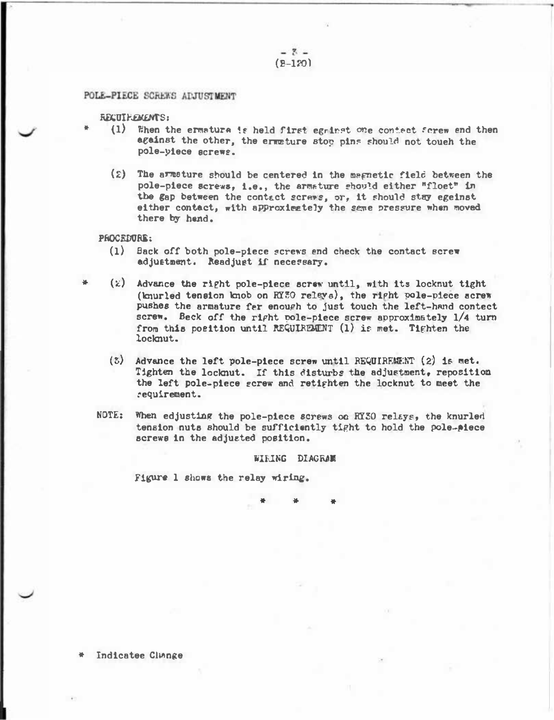$-7 (B-120)$ 

### POLE-PIECE SCREWS ADJUSTMENT

## RECUIREMENTS:

- (1) When the ermatura is held first egainst one contact forew end then against the other, the ermeture stop pins should not touch the pole-yiece acrews.
- (2) The armature should be centered in the magnetic field between the pole-piece screws, i.e., the armature should either "floet" in the gap between the contact screws, or, it should stay egeinst either contact, with approximately the same pressure when moved there by hend.

#### PROCEDURE:

- (1) Back off both pole-piece screws end check the contact screw adjustment. Readjust if necessary.
- $(z)$  Advance the right pole-piece screw until, with its locknut tight (knurled tension knob on RYHO releve), the right pole-piece acrew pushes the armature far enough to just touch the left-hand contect screw. Beck off the right pole-piece screw approximately 1/4 turn from this position until REQUIREMENT (1) is met. Tighten the locknut.
	- (3) Advance the left pole-piece screw until REQUIREMENT (2) is met. Tighten the locknut. If this disturbs the adjustment, reposition the left pole-piece gcrew and retighten the locknut to meet the requirement.
- NOTE: When edjusting the pole-piece screws on RY30 relays, the knurled tension nuts should be sufficiently tight to hold the pole-piece screws in the adjusted position.

#### WIRING DIAGRAM

Figure 1 shows the relay wiring.

Indicatee Clinnge